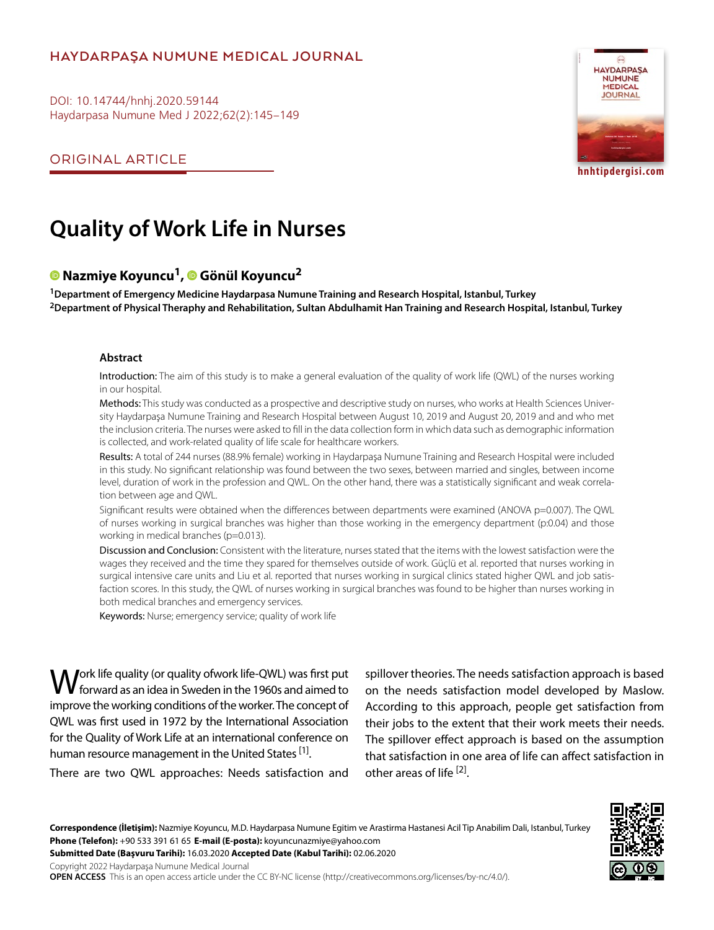## **HAYDARPAŞA NUMUNE MEDICAL JOURNAL**

DOI: 10.14744/hnhj.2020.59144 Haydarpasa Numune Med J 2022;62(2):145–149

ORIGINAL ARTICLE



**hnhtipdergisi.com**

# **Quality of Work Life in Nurses**

## **Nazmiye Koyuncu1,Gönül Koyuncu2**

**1Department of Emergency Medicine Haydarpasa Numune Training and Research Hospital, Istanbul, Turkey 2Department of Physical Theraphy and Rehabilitation, Sultan Abdulhamit Han Training and Research Hospital, Istanbul, Turkey**

#### **Abstract**

Introduction: The aim of this study is to make a general evaluation of the quality of work life (QWL) of the nurses working in our hospital.

Methods: This study was conducted as a prospective and descriptive study on nurses, who works at Health Sciences University Haydarpaşa Numune Training and Research Hospital between August 10, 2019 and August 20, 2019 and and who met the inclusion criteria. The nurses were asked to fill in the data collection form in which data such as demographic information is collected, and work-related quality of life scale for healthcare workers.

Results: A total of 244 nurses (88.9% female) working in Haydarpasa Numune Training and Research Hospital were included in this study. No significant relationship was found between the two sexes, between married and singles, between income level, duration of work in the profession and QWL. On the other hand, there was a statistically significant and weak correlation between age and QWL.

Significant results were obtained when the differences between departments were examined (ANOVA p=0.007). The QWL of nurses working in surgical branches was higher than those working in the emergency department (p:0.04) and those working in medical branches (p=0.013).

Discussion and Conclusion: Consistent with the literature, nurses stated that the items with the lowest satisfaction were the wages they received and the time they spared for themselves outside of work. Güçlü et al. reported that nurses working in surgical intensive care units and Liu et al. reported that nurses working in surgical clinics stated higher QWL and job satisfaction scores. In this study, the QWL of nurses working in surgical branches was found to be higher than nurses working in both medical branches and emergency services.

Keywords: Nurse; emergency service; quality of work life

**M**ork life quality (or quality ofwork life-QWL) was first put forward as an idea in Sweden in the 1960s and aimed to improve the working conditions of the worker. The concept of QWL was first used in 1972 by the International Association for the Quality of Work Life at an international conference on human resource management in the United States [1].

There are two QWL approaches: Needs satisfaction and

spillover theories. The needs satisfaction approach is based on the needs satisfaction model developed by Maslow. According to this approach, people get satisfaction from their jobs to the extent that their work meets their needs. The spillover effect approach is based on the assumption that satisfaction in one area of life can affect satisfaction in other areas of life [2].



**Correspondence (İletişim):** Nazmiye Koyuncu, M.D. Haydarpasa Numune Egitim ve Arastirma Hastanesi Acil Tip Anabilim Dali, Istanbul, Turkey **Phone (Telefon):** +90 533 391 61 65 **E-mail (E-posta):** koyuncunazmiye@yahoo.com

**Submitted Date (Başvuru Tarihi):** 16.03.2020 **Accepted Date (Kabul Tarihi):** 02.06.2020

Copyright 2022 Haydarpaşa Numune Medical Journal

**OPEN ACCESS** This is an open access article under the CC BY-NC license (http://creativecommons.org/licenses/by-nc/4.0/).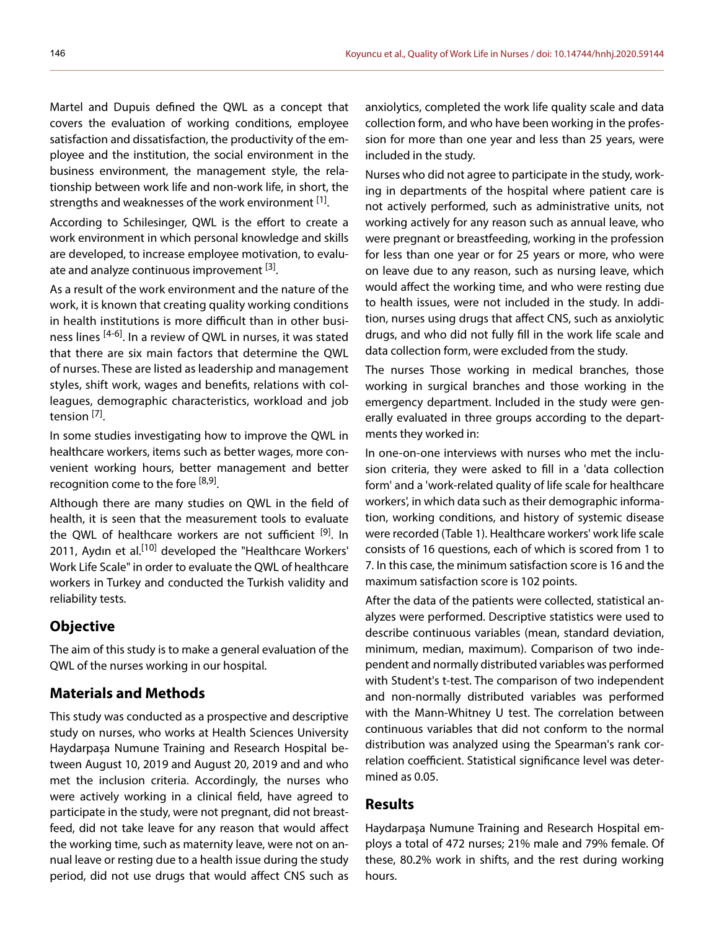Martel and Dupuis defined the QWL as a concept that covers the evaluation of working conditions, employee satisfaction and dissatisfaction, the productivity of the employee and the institution, the social environment in the business environment, the management style, the relationship between work life and non-work life, in short, the strengths and weaknesses of the work environment [1].

According to Schilesinger, QWL is the effort to create a work environment in which personal knowledge and skills are developed, to increase employee motivation, to evaluate and analyze continuous improvement [3].

As a result of the work environment and the nature of the work, it is known that creating quality working conditions in health institutions is more difficult than in other business lines <sup>[4-6]</sup>. In a review of QWL in nurses, it was stated that there are six main factors that determine the QWL of nurses. These are listed as leadership and management styles, shift work, wages and benefits, relations with colleagues, demographic characteristics, workload and job tension <sup>[7]</sup>.

In some studies investigating how to improve the QWL in healthcare workers, items such as better wages, more convenient working hours, better management and better recognition come to the fore  $[8,9]$ .

Although there are many studies on QWL in the field of health, it is seen that the measurement tools to evaluate the QWL of healthcare workers are not sufficient [9]. In 2011, Aydın et al.<sup>[10]</sup> developed the "Healthcare Workers' Work Life Scale" in order to evaluate the QWL of healthcare workers in Turkey and conducted the Turkish validity and reliability tests.

#### **Objective**

The aim of this study is to make a general evaluation of the QWL of the nurses working in our hospital.

### **Materials and Methods**

This study was conducted as a prospective and descriptive study on nurses, who works at Health Sciences University Haydarpaşa Numune Training and Research Hospital between August 10, 2019 and August 20, 2019 and and who met the inclusion criteria. Accordingly, the nurses who were actively working in a clinical field, have agreed to participate in the study, were not pregnant, did not breastfeed, did not take leave for any reason that would affect the working time, such as maternity leave, were not on annual leave or resting due to a health issue during the study period, did not use drugs that would affect CNS such as anxiolytics, completed the work life quality scale and data collection form, and who have been working in the profession for more than one year and less than 25 years, were included in the study.

Nurses who did not agree to participate in the study, working in departments of the hospital where patient care is not actively performed, such as administrative units, not working actively for any reason such as annual leave, who were pregnant or breastfeeding, working in the profession for less than one year or for 25 years or more, who were on leave due to any reason, such as nursing leave, which would affect the working time, and who were resting due to health issues, were not included in the study. In addition, nurses using drugs that affect CNS, such as anxiolytic drugs, and who did not fully fill in the work life scale and data collection form, were excluded from the study.

The nurses Those working in medical branches, those working in surgical branches and those working in the emergency department. Included in the study were generally evaluated in three groups according to the departments they worked in:

In one-on-one interviews with nurses who met the inclusion criteria, they were asked to fill in a 'data collection form' and a 'work-related quality of life scale for healthcare workers', in which data such as their demographic information, working conditions, and history of systemic disease were recorded (Table 1). Healthcare workers' work life scale consists of 16 questions, each of which is scored from 1 to 7. In this case, the minimum satisfaction score is 16 and the maximum satisfaction score is 102 points.

After the data of the patients were collected, statistical analyzes were performed. Descriptive statistics were used to describe continuous variables (mean, standard deviation, minimum, median, maximum). Comparison of two independent and normally distributed variables was performed with Student's t-test. The comparison of two independent and non-normally distributed variables was performed with the Mann-Whitney U test. The correlation between continuous variables that did not conform to the normal distribution was analyzed using the Spearman's rank correlation coefficient. Statistical significance level was determined as 0.05.

## **Results**

Haydarpaşa Numune Training and Research Hospital employs a total of 472 nurses; 21% male and 79% female. Of these, 80.2% work in shifts, and the rest during working hours.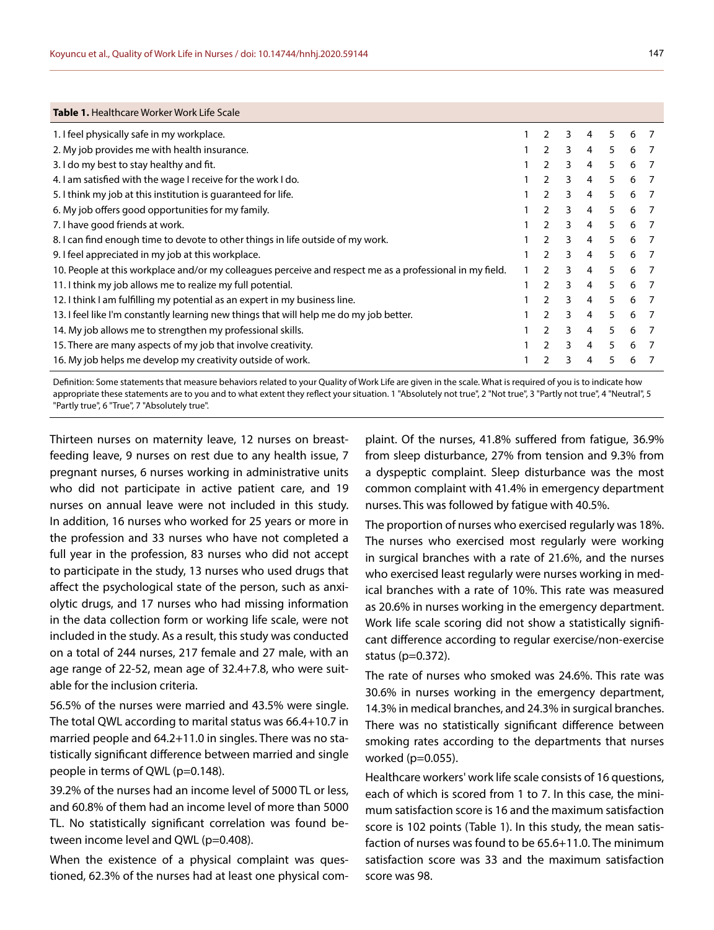| <b>Table 1.</b> Healthcare Worker Work Life Scale                                                        |                |   |                |    |   |   |
|----------------------------------------------------------------------------------------------------------|----------------|---|----------------|----|---|---|
| 1. I feel physically safe in my workplace.                                                               | $\mathcal{P}$  | 3 | 4              | 5  | 6 |   |
| 2. My job provides me with health insurance.                                                             | $\mathcal{P}$  | 3 | 4              | 5  | 6 |   |
| 3. I do my best to stay healthy and fit.                                                                 | 2              | 3 | 4              | 5  | 6 |   |
| 4. I am satisfied with the wage I receive for the work I do.                                             | 2              | 3 | 4              | 5  | 6 |   |
| 5. I think my job at this institution is quaranteed for life.                                            | 2              | 3 | 4              | 5  | 6 |   |
| 6. My job offers good opportunities for my family.                                                       | 2              | 3 | 4              | 5  | 6 |   |
| 7. I have good friends at work.                                                                          | $\mathcal{P}$  | 3 | 4              | 5  | 6 |   |
| 8. I can find enough time to devote to other things in life outside of my work.                          | $\overline{2}$ | 3 | $\overline{4}$ | 5  | 6 |   |
| 9. I feel appreciated in my job at this workplace.                                                       | 2              | 3 | 4              | 5. | 6 |   |
| 10. People at this workplace and/or my colleagues perceive and respect me as a professional in my field. | 2              | 3 | 4              | 5  | 6 |   |
| 11. I think my job allows me to realize my full potential.                                               | $\mathcal{P}$  | 3 | 4              | 5  | 6 |   |
| 12. I think I am fulfilling my potential as an expert in my business line.                               | 2              | 3 | 4              | 5  | 6 | 7 |
| 13. I feel like I'm constantly learning new things that will help me do my job better.                   | 2              | 3 | 4              | 5  | 6 |   |
| 14. My job allows me to strengthen my professional skills.                                               | $\mathcal{P}$  | 3 | 4              | 5  | 6 |   |
| 15. There are many aspects of my job that involve creativity.                                            | $\mathcal{P}$  | 3 | 4              | 5  | 6 |   |
| 16. My job helps me develop my creativity outside of work.                                               | $\mathcal{P}$  | 3 | 4              | 5  | 6 |   |
|                                                                                                          |                |   |                |    |   |   |

Definition: Some statements that measure behaviors related to your Quality of Work Life are given in the scale. What is required of you is to indicate how appropriate these statements are to you and to what extent they reflect your situation. 1 "Absolutely not true", 2 "Not true", 3 "Partly not true", 4 "Neutral", 5 "Partly true", 6 "True", 7 "Absolutely true".

Thirteen nurses on maternity leave, 12 nurses on breastfeeding leave, 9 nurses on rest due to any health issue, 7 pregnant nurses, 6 nurses working in administrative units who did not participate in active patient care, and 19 nurses on annual leave were not included in this study. In addition, 16 nurses who worked for 25 years or more in the profession and 33 nurses who have not completed a full year in the profession, 83 nurses who did not accept to participate in the study, 13 nurses who used drugs that affect the psychological state of the person, such as anxiolytic drugs, and 17 nurses who had missing information in the data collection form or working life scale, were not included in the study. As a result, this study was conducted on a total of 244 nurses, 217 female and 27 male, with an age range of 22-52, mean age of 32.4+7.8, who were suitable for the inclusion criteria.

56.5% of the nurses were married and 43.5% were single. The total QWL according to marital status was 66.4+10.7 in married people and 64.2+11.0 in singles. There was no statistically significant difference between married and single people in terms of QWL (p=0.148).

39.2% of the nurses had an income level of 5000 TL or less, and 60.8% of them had an income level of more than 5000 TL. No statistically significant correlation was found between income level and QWL (p=0.408).

When the existence of a physical complaint was questioned, 62.3% of the nurses had at least one physical com-

plaint. Of the nurses, 41.8% suffered from fatigue, 36.9% from sleep disturbance, 27% from tension and 9.3% from a dyspeptic complaint. Sleep disturbance was the most common complaint with 41.4% in emergency department nurses. This was followed by fatigue with 40.5%.

The proportion of nurses who exercised regularly was 18%. The nurses who exercised most regularly were working in surgical branches with a rate of 21.6%, and the nurses who exercised least regularly were nurses working in medical branches with a rate of 10%. This rate was measured as 20.6% in nurses working in the emergency department. Work life scale scoring did not show a statistically significant difference according to regular exercise/non-exercise status (p=0.372).

The rate of nurses who smoked was 24.6%. This rate was 30.6% in nurses working in the emergency department, 14.3% in medical branches, and 24.3% in surgical branches. There was no statistically significant difference between smoking rates according to the departments that nurses worked (p=0.055).

Healthcare workers' work life scale consists of 16 questions, each of which is scored from 1 to 7. In this case, the minimum satisfaction score is 16 and the maximum satisfaction score is 102 points (Table 1). In this study, the mean satisfaction of nurses was found to be 65.6+11.0. The minimum satisfaction score was 33 and the maximum satisfaction score was 98.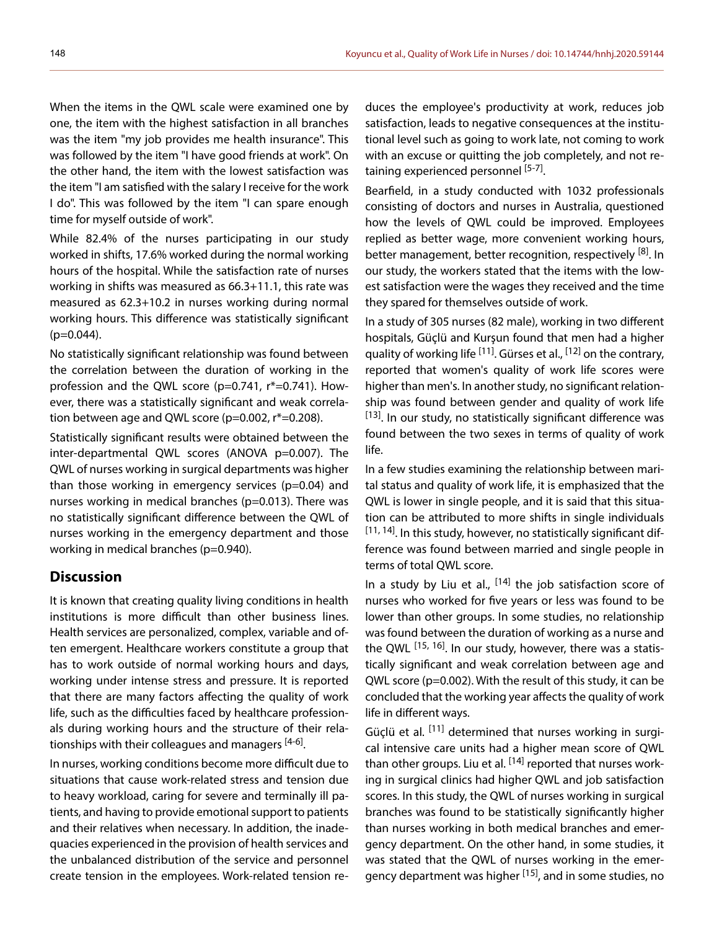When the items in the QWL scale were examined one by one, the item with the highest satisfaction in all branches was the item "my job provides me health insurance". This was followed by the item "I have good friends at work". On the other hand, the item with the lowest satisfaction was the item "I am satisfied with the salary I receive for the work I do". This was followed by the item "I can spare enough time for myself outside of work".

While 82.4% of the nurses participating in our study worked in shifts, 17.6% worked during the normal working hours of the hospital. While the satisfaction rate of nurses working in shifts was measured as 66.3+11.1, this rate was measured as 62.3+10.2 in nurses working during normal working hours. This difference was statistically significant  $(p=0.044)$ .

No statistically significant relationship was found between the correlation between the duration of working in the profession and the QWL score (p=0.741, r\*=0.741). However, there was a statistically significant and weak correlation between age and QWL score (p=0.002, r\*=0.208).

Statistically significant results were obtained between the inter-departmental QWL scores (ANOVA p=0.007). The QWL of nurses working in surgical departments was higher than those working in emergency services (p=0.04) and nurses working in medical branches (p=0.013). There was no statistically significant difference between the QWL of nurses working in the emergency department and those working in medical branches (p=0.940).

#### **Discussion**

It is known that creating quality living conditions in health institutions is more difficult than other business lines. Health services are personalized, complex, variable and often emergent. Healthcare workers constitute a group that has to work outside of normal working hours and days, working under intense stress and pressure. It is reported that there are many factors affecting the quality of work life, such as the difficulties faced by healthcare professionals during working hours and the structure of their relationships with their colleagues and managers [4-6].

In nurses, working conditions become more difficult due to situations that cause work-related stress and tension due to heavy workload, caring for severe and terminally ill patients, and having to provide emotional support to patients and their relatives when necessary. In addition, the inadequacies experienced in the provision of health services and the unbalanced distribution of the service and personnel create tension in the employees. Work-related tension re-

duces the employee's productivity at work, reduces job satisfaction, leads to negative consequences at the institutional level such as going to work late, not coming to work with an excuse or quitting the job completely, and not retaining experienced personnel [5-7].

Bearfield, in a study conducted with 1032 professionals consisting of doctors and nurses in Australia, questioned how the levels of QWL could be improved. Employees replied as better wage, more convenient working hours, better management, better recognition, respectively [8]. In our study, the workers stated that the items with the lowest satisfaction were the wages they received and the time they spared for themselves outside of work.

In a study of 305 nurses (82 male), working in two different hospitals, Güçlü and Kurşun found that men had a higher quality of working life  $[11]$ . Gürses et al.,  $[12]$  on the contrary, reported that women's quality of work life scores were higher than men's. In another study, no significant relationship was found between gender and quality of work life  $[13]$ . In our study, no statistically significant difference was found between the two sexes in terms of quality of work life.

In a few studies examining the relationship between marital status and quality of work life, it is emphasized that the QWL is lower in single people, and it is said that this situation can be attributed to more shifts in single individuals  $[11, 14]$ . In this study, however, no statistically significant difference was found between married and single people in terms of total QWL score.

In a study by Liu et al.,  $[14]$  the job satisfaction score of nurses who worked for five years or less was found to be lower than other groups. In some studies, no relationship was found between the duration of working as a nurse and the QWL <sup>[15, 16]</sup>. In our study, however, there was a statistically significant and weak correlation between age and QWL score (p=0.002). With the result of this study, it can be concluded that the working year affects the quality of work life in different ways.

Güclü et al. <sup>[11]</sup> determined that nurses working in surgical intensive care units had a higher mean score of QWL than other groups. Liu et al.  $[14]$  reported that nurses working in surgical clinics had higher QWL and job satisfaction scores. In this study, the QWL of nurses working in surgical branches was found to be statistically significantly higher than nurses working in both medical branches and emergency department. On the other hand, in some studies, it was stated that the QWL of nurses working in the emergency department was higher <sup>[15]</sup>, and in some studies, no